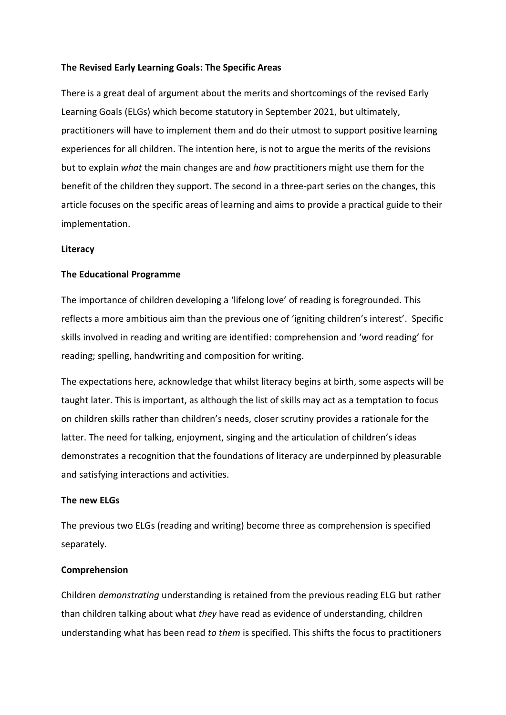## **The Revised Early Learning Goals: The Specific Areas**

There is a great deal of argument about the merits and shortcomings of the revised Early Learning Goals (ELGs) which become statutory in September 2021, but ultimately, practitioners will have to implement them and do their utmost to support positive learning experiences for all children. The intention here, is not to argue the merits of the revisions but to explain *what* the main changes are and *how* practitioners might use them for the benefit of the children they support. The second in a three-part series on the changes, this article focuses on the specific areas of learning and aims to provide a practical guide to their implementation.

### **Literacy**

#### **The Educational Programme**

The importance of children developing a 'lifelong love' of reading is foregrounded. This reflects a more ambitious aim than the previous one of 'igniting children's interest'. Specific skills involved in reading and writing are identified: comprehension and 'word reading' for reading; spelling, handwriting and composition for writing.

The expectations here, acknowledge that whilst literacy begins at birth, some aspects will be taught later. This is important, as although the list of skills may act as a temptation to focus on children skills rather than children's needs, closer scrutiny provides a rationale for the latter. The need for talking, enjoyment, singing and the articulation of children's ideas demonstrates a recognition that the foundations of literacy are underpinned by pleasurable and satisfying interactions and activities.

### **The new ELGs**

The previous two ELGs (reading and writing) become three as comprehension is specified separately.

#### **Comprehension**

Children *demonstrating* understanding is retained from the previous reading ELG but rather than children talking about what *they* have read as evidence of understanding, children understanding what has been read *to them* is specified. This shifts the focus to practitioners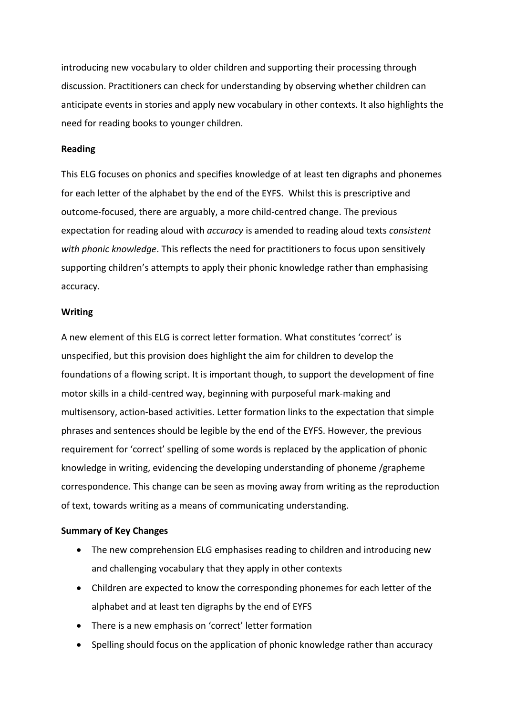introducing new vocabulary to older children and supporting their processing through discussion. Practitioners can check for understanding by observing whether children can anticipate events in stories and apply new vocabulary in other contexts. It also highlights the need for reading books to younger children.

### **Reading**

This ELG focuses on phonics and specifies knowledge of at least ten digraphs and phonemes for each letter of the alphabet by the end of the EYFS. Whilst this is prescriptive and outcome-focused, there are arguably, a more child-centred change. The previous expectation for reading aloud with *accuracy* is amended to reading aloud texts *consistent with phonic knowledge*. This reflects the need for practitioners to focus upon sensitively supporting children's attempts to apply their phonic knowledge rather than emphasising accuracy.

#### **Writing**

A new element of this ELG is correct letter formation. What constitutes 'correct' is unspecified, but this provision does highlight the aim for children to develop the foundations of a flowing script. It is important though, to support the development of fine motor skills in a child-centred way, beginning with purposeful mark-making and multisensory, action-based activities. Letter formation links to the expectation that simple phrases and sentences should be legible by the end of the EYFS. However, the previous requirement for 'correct' spelling of some words is replaced by the application of phonic knowledge in writing, evidencing the developing understanding of phoneme /grapheme correspondence. This change can be seen as moving away from writing as the reproduction of text, towards writing as a means of communicating understanding.

### **Summary of Key Changes**

- The new comprehension ELG emphasises reading to children and introducing new and challenging vocabulary that they apply in other contexts
- Children are expected to know the corresponding phonemes for each letter of the alphabet and at least ten digraphs by the end of EYFS
- There is a new emphasis on 'correct' letter formation
- Spelling should focus on the application of phonic knowledge rather than accuracy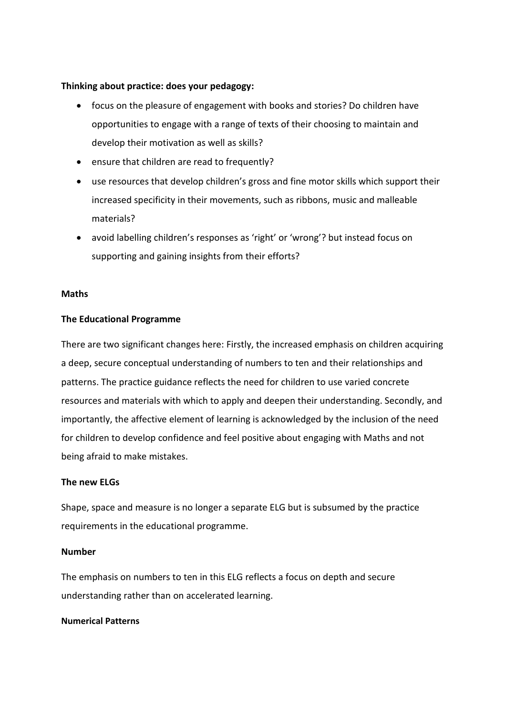## **Thinking about practice: does your pedagogy:**

- focus on the pleasure of engagement with books and stories? Do children have opportunities to engage with a range of texts of their choosing to maintain and develop their motivation as well as skills?
- ensure that children are read to frequently?
- use resources that develop children's gross and fine motor skills which support their increased specificity in their movements, such as ribbons, music and malleable materials?
- avoid labelling children's responses as 'right' or 'wrong'? but instead focus on supporting and gaining insights from their efforts?

### **Maths**

### **The Educational Programme**

There are two significant changes here: Firstly, the increased emphasis on children acquiring a deep, secure conceptual understanding of numbers to ten and their relationships and patterns. The practice guidance reflects the need for children to use varied concrete resources and materials with which to apply and deepen their understanding. Secondly, and importantly, the affective element of learning is acknowledged by the inclusion of the need for children to develop confidence and feel positive about engaging with Maths and not being afraid to make mistakes.

### **The new ELGs**

Shape, space and measure is no longer a separate ELG but is subsumed by the practice requirements in the educational programme.

### **Number**

The emphasis on numbers to ten in this ELG reflects a focus on depth and secure understanding rather than on accelerated learning.

### **Numerical Patterns**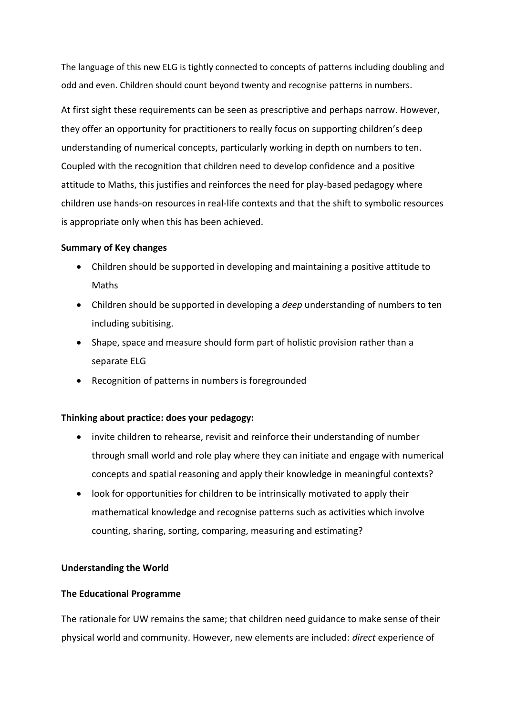The language of this new ELG is tightly connected to concepts of patterns including doubling and odd and even. Children should count beyond twenty and recognise patterns in numbers.

At first sight these requirements can be seen as prescriptive and perhaps narrow. However, they offer an opportunity for practitioners to really focus on supporting children's deep understanding of numerical concepts, particularly working in depth on numbers to ten. Coupled with the recognition that children need to develop confidence and a positive attitude to Maths, this justifies and reinforces the need for play-based pedagogy where children use hands-on resources in real-life contexts and that the shift to symbolic resources is appropriate only when this has been achieved.

## **Summary of Key changes**

- Children should be supported in developing and maintaining a positive attitude to Maths
- Children should be supported in developing a *deep* understanding of numbers to ten including subitising.
- Shape, space and measure should form part of holistic provision rather than a separate ELG
- Recognition of patterns in numbers is foregrounded

# **Thinking about practice: does your pedagogy:**

- invite children to rehearse, revisit and reinforce their understanding of number through small world and role play where they can initiate and engage with numerical concepts and spatial reasoning and apply their knowledge in meaningful contexts?
- look for opportunities for children to be intrinsically motivated to apply their mathematical knowledge and recognise patterns such as activities which involve counting, sharing, sorting, comparing, measuring and estimating?

# **Understanding the World**

## **The Educational Programme**

The rationale for UW remains the same; that children need guidance to make sense of their physical world and community. However, new elements are included: *direct* experience of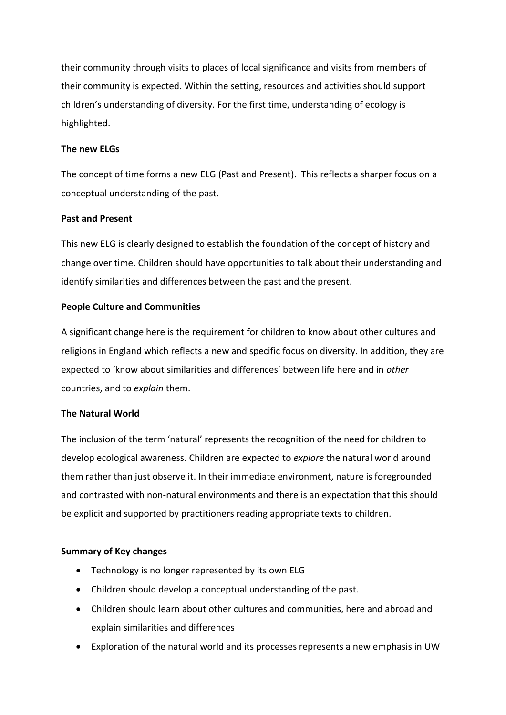their community through visits to places of local significance and visits from members of their community is expected. Within the setting, resources and activities should support children's understanding of diversity. For the first time, understanding of ecology is highlighted.

## **The new ELGs**

The concept of time forms a new ELG (Past and Present). This reflects a sharper focus on a conceptual understanding of the past.

## **Past and Present**

This new ELG is clearly designed to establish the foundation of the concept of history and change over time. Children should have opportunities to talk about their understanding and identify similarities and differences between the past and the present.

## **People Culture and Communities**

A significant change here is the requirement for children to know about other cultures and religions in England which reflects a new and specific focus on diversity. In addition, they are expected to 'know about similarities and differences' between life here and in *other* countries, and to *explain* them.

# **The Natural World**

The inclusion of the term 'natural' represents the recognition of the need for children to develop ecological awareness. Children are expected to *explore* the natural world around them rather than just observe it. In their immediate environment, nature is foregrounded and contrasted with non-natural environments and there is an expectation that this should be explicit and supported by practitioners reading appropriate texts to children.

## **Summary of Key changes**

- Technology is no longer represented by its own ELG
- Children should develop a conceptual understanding of the past.
- Children should learn about other cultures and communities, here and abroad and explain similarities and differences
- Exploration of the natural world and its processes represents a new emphasis in UW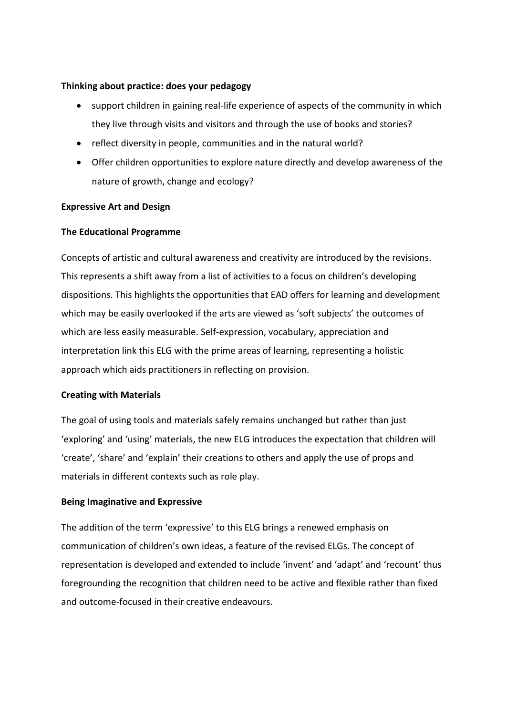## **Thinking about practice: does your pedagogy**

- support children in gaining real-life experience of aspects of the community in which they live through visits and visitors and through the use of books and stories?
- reflect diversity in people, communities and in the natural world?
- Offer children opportunities to explore nature directly and develop awareness of the nature of growth, change and ecology?

## **Expressive Art and Design**

## **The Educational Programme**

Concepts of artistic and cultural awareness and creativity are introduced by the revisions. This represents a shift away from a list of activities to a focus on children's developing dispositions. This highlights the opportunities that EAD offers for learning and development which may be easily overlooked if the arts are viewed as 'soft subjects' the outcomes of which are less easily measurable. Self-expression, vocabulary, appreciation and interpretation link this ELG with the prime areas of learning, representing a holistic approach which aids practitioners in reflecting on provision.

## **Creating with Materials**

The goal of using tools and materials safely remains unchanged but rather than just 'exploring' and 'using' materials, the new ELG introduces the expectation that children will 'create', 'share' and 'explain' their creations to others and apply the use of props and materials in different contexts such as role play.

## **Being Imaginative and Expressive**

The addition of the term 'expressive' to this ELG brings a renewed emphasis on communication of children's own ideas, a feature of the revised ELGs. The concept of representation is developed and extended to include 'invent' and 'adapt' and 'recount' thus foregrounding the recognition that children need to be active and flexible rather than fixed and outcome-focused in their creative endeavours.